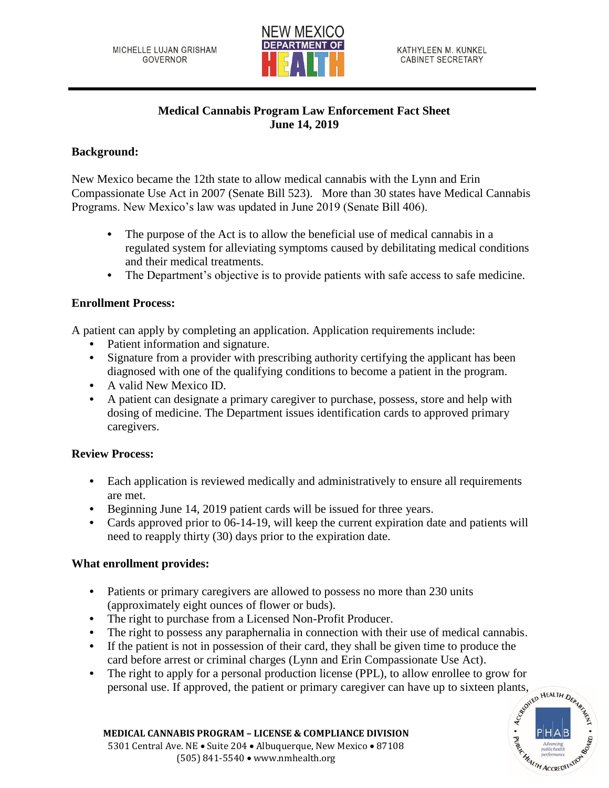

# **Medical Cannabis Program Law Enforcement Fact Sheet June 14, 2019**

### **Background:**

New Mexico became the 12th state to allow medical cannabis with the Lynn and Erin Compassionate Use Act in 2007 (Senate Bill 523). More than 30 states have Medical Cannabis Programs. New Mexico's law was updated in June 2019 (Senate Bill 406).

- **•** The purpose of the Act is to allow the beneficial use of medical cannabis in a regulated system for alleviating symptoms caused by debilitating medical conditions and their medical treatments.
- The Department's objective is to provide patients with safe access to safe medicine.

#### **Enrollment Process:**

A patient can apply by completing an application. Application requirements include:

- **•** Patient information and signature.
- **•** Signature from a provider with prescribing authority certifying the applicant has been diagnosed with one of the qualifying conditions to become a patient in the program.
- **•** A valid New Mexico ID.
- **•** A patient can designate a primary caregiver to purchase, possess, store and help with dosing of medicine. The Department issues identification cards to approved primary caregivers.

# **Review Process:**

- **•** Each application is reviewed medically and administratively to ensure all requirements are met.
- **•** Beginning June 14, 2019 patient cards will be issued for three years.
- **•** Cards approved prior to 06-14-19, will keep the current expiration date and patients will need to reapply thirty (30) days prior to the expiration date.

# **What enrollment provides:**

- **•** Patients or primary caregivers are allowed to possess no more than 230 units (approximately eight ounces of flower or buds).
- **•** The right to purchase from a Licensed Non-Profit Producer.
- The right to possess any paraphernalia in connection with their use of medical cannabis.
- **•** If the patient is not in possession of their card, they shall be given time to produce the card before arrest or criminal charges (Lynn and Erin Compassionate Use Act).
- The right to apply for a personal production license (PPL), to allow enrollee to grow for personal use. If approved, the patient or primary caregiver can have up to sixteen plants,  $\int_{\mathcal{R}^{\phi N}} \mathbf{R}^{kA17H} D_{\mathcal{R}_{\math$ personal use. If approved, the patient or primary caregiver can have up to sixteen plants,



**MEDICAL CANNABIS PROGRAM – LICENSE & COMPLIANCE DIVISION** 5301 Central Ave. NE • Suite 204 • Albuquerque, New Mexico • 87108 (505) 841-5540 • www.nmhealth.org